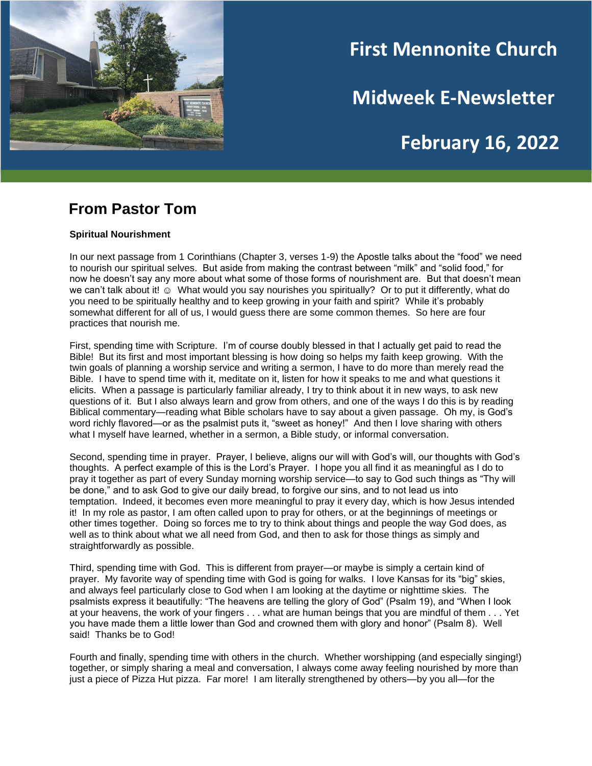

# **First Mennonite Church**

**Midweek E-Newsletter**

# **February 16, 2022**

## **From Pastor Tom**

#### **Spiritual Nourishment**

In our next passage from 1 Corinthians (Chapter 3, verses 1-9) the Apostle talks about the "food" we need to nourish our spiritual selves. But aside from making the contrast between "milk" and "solid food," for now he doesn't say any more about what some of those forms of nourishment are. But that doesn't mean we can't talk about it! © What would you say nourishes you spiritually? Or to put it differently, what do you need to be spiritually healthy and to keep growing in your faith and spirit? While it's probably somewhat different for all of us, I would guess there are some common themes. So here are four practices that nourish me.

First, spending time with Scripture. I'm of course doubly blessed in that I actually get paid to read the Bible! But its first and most important blessing is how doing so helps my faith keep growing. With the twin goals of planning a worship service and writing a sermon, I have to do more than merely read the Bible. I have to spend time with it, meditate on it, listen for how it speaks to me and what questions it elicits. When a passage is particularly familiar already, I try to think about it in new ways, to ask new questions of it. But I also always learn and grow from others, and one of the ways I do this is by reading Biblical commentary—reading what Bible scholars have to say about a given passage. Oh my, is God's word richly flavored—or as the psalmist puts it, "sweet as honey!" And then I love sharing with others what I myself have learned, whether in a sermon, a Bible study, or informal conversation.

Second, spending time in prayer. Prayer, I believe, aligns our will with God's will, our thoughts with God's thoughts. A perfect example of this is the Lord's Prayer. I hope you all find it as meaningful as I do to pray it together as part of every Sunday morning worship service—to say to God such things as "Thy will be done," and to ask God to give our daily bread, to forgive our sins, and to not lead us into temptation. Indeed, it becomes even more meaningful to pray it every day, which is how Jesus intended it! In my role as pastor, I am often called upon to pray for others, or at the beginnings of meetings or other times together. Doing so forces me to try to think about things and people the way God does, as well as to think about what we all need from God, and then to ask for those things as simply and straightforwardly as possible.

Third, spending time with God. This is different from prayer—or maybe is simply a certain kind of prayer. My favorite way of spending time with God is going for walks. I love Kansas for its "big" skies, and always feel particularly close to God when I am looking at the daytime or nighttime skies. The psalmists express it beautifully: "The heavens are telling the glory of God" (Psalm 19), and "When I look at your heavens, the work of your fingers . . . what are human beings that you are mindful of them . . . Yet you have made them a little lower than God and crowned them with glory and honor" (Psalm 8). Well said! Thanks be to God!

Fourth and finally, spending time with others in the church. Whether worshipping (and especially singing!) together, or simply sharing a meal and conversation, I always come away feeling nourished by more than just a piece of Pizza Hut pizza. Far more! I am literally strengthened by others—by you all—for the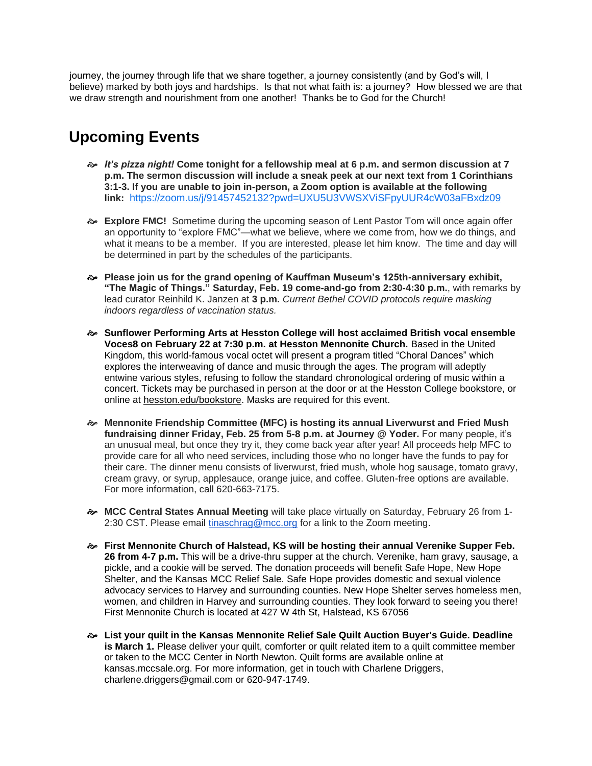journey, the journey through life that we share together, a journey consistently (and by God's will, I believe) marked by both joys and hardships. Is that not what faith is: a journey? How blessed we are that we draw strength and nourishment from one another! Thanks be to God for the Church!

# **Upcoming Events**

- *It's pizza night!* **Come tonight for a fellowship meal at 6 p.m. and sermon discussion at 7 p.m. The sermon discussion will include a sneak peek at our next text from 1 Corinthians 3:1-3. If you are unable to join in-person, a Zoom option is available at the following link:** <https://zoom.us/j/91457452132?pwd=UXU5U3VWSXViSFpyUUR4cW03aFBxdz09>
- **Explore FMC!** Sometime during the upcoming season of Lent Pastor Tom will once again offer an opportunity to "explore FMC"—what we believe, where we come from, how we do things, and what it means to be a member. If you are interested, please let him know. The time and day will be determined in part by the schedules of the participants.
- **Please join us for the grand opening of Kauffman Museum's 125th-anniversary exhibit, "The Magic of Things." Saturday, Feb. 19 come-and-go from 2:30-4:30 p.m.**, with remarks by lead curator Reinhild K. Janzen at **3 p.m.** *Current Bethel COVID protocols require masking indoors regardless of vaccination status.*
- **Sunflower Performing Arts at Hesston College will host acclaimed British vocal ensemble Voces8 on February 22 at 7:30 p.m. at Hesston Mennonite Church.** Based in the United Kingdom, this world-famous vocal octet will present a program titled "Choral Dances" which explores the interweaving of dance and music through the ages. The program will adeptly entwine various styles, refusing to follow the standard chronological ordering of music within a concert. Tickets may be purchased in person at the door or at the Hesston College bookstore, or online at [hesston.edu/bookstore.](https://my.hesston.edu/ICS/Alumni/Alumni_Home.jnz?portlet=J1_FormFlow_-_Forms&screen=FormView&screenType=change&form=6245e4cf-547f-4ef5-aa41-a02b73a95ccb) Masks are required for this event.
- **Mennonite Friendship Committee (MFC) is hosting its annual Liverwurst and Fried Mush fundraising dinner Friday, Feb. 25 from 5-8 p.m. at Journey @ Yoder.** For many people, it's an unusual meal, but once they try it, they come back year after year! All proceeds help MFC to provide care for all who need services, including those who no longer have the funds to pay for their care. The dinner menu consists of liverwurst, fried mush, whole hog sausage, tomato gravy, cream gravy, or syrup, applesauce, orange juice, and coffee. Gluten-free options are available. For more information, call 620-663-7175.
- **MCC Central States Annual Meeting** will take place virtually on Saturday, February 26 from 1- 2:30 CST. Please email [tinaschrag@mcc.org](mailto:tinaschrag@mcc.org) for a link to the Zoom meeting.
- **First Mennonite Church of Halstead, KS will be hosting their annual Verenike Supper Feb. 26 from 4-7 p.m.** This will be a drive-thru supper at the church. Verenike, ham gravy, sausage, a pickle, and a cookie will be served. The donation proceeds will benefit Safe Hope, New Hope Shelter, and the Kansas MCC Relief Sale. Safe Hope provides domestic and sexual violence advocacy services to Harvey and surrounding counties. New Hope Shelter serves homeless men, women, and children in Harvey and surrounding counties. They look forward to seeing you there! First Mennonite Church is located at 427 W 4th St, Halstead, KS 67056
- **List your quilt in the Kansas Mennonite Relief Sale Quilt Auction Buyer's Guide. Deadline is March 1.** Please deliver your quilt, comforter or quilt related item to a quilt committee member or taken to the MCC Center in North Newton. Quilt forms are available online at kansas.mccsale.org. For more information, get in touch with Charlene Driggers, charlene.driggers@gmail.com or 620-947-1749.